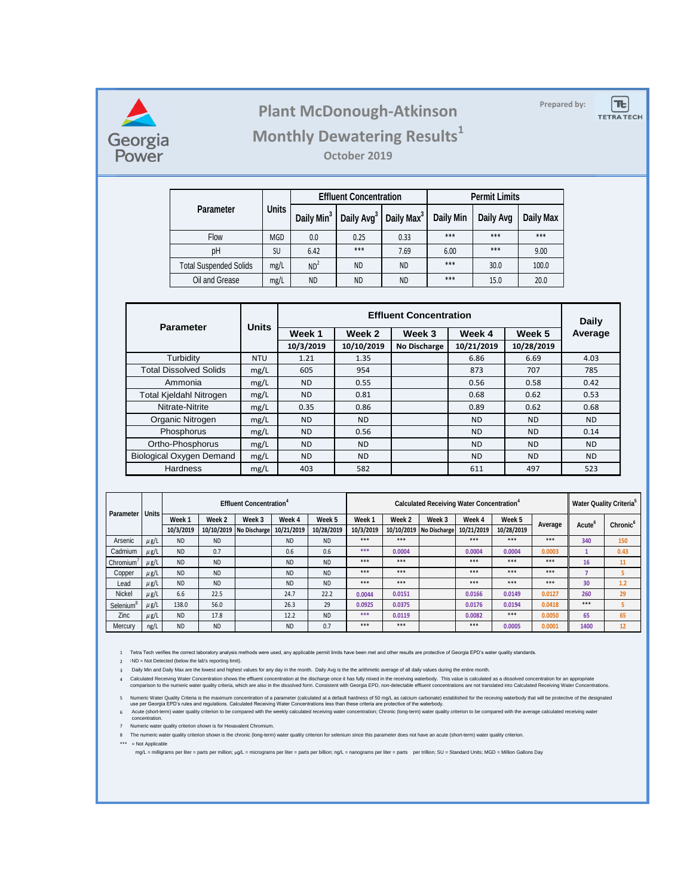

## **Prepared by: Plant McDonough-Atkinson**

 $|\mathbf{E}|$ **TETRA TECH** 

# **Monthly Dewatering Results<sup>1</sup>**

**October 2019**

|                               |              |                        | <b>Effluent Concentration</b> |                        | <b>Permit Limits</b> |           |                  |  |
|-------------------------------|--------------|------------------------|-------------------------------|------------------------|----------------------|-----------|------------------|--|
| <b>Parameter</b>              | <b>Units</b> | Daily Min <sup>3</sup> | Daily Avg <sup>3</sup>        | Daily Max <sup>3</sup> | <b>Daily Min</b>     | Daily Avg | <b>Daily Max</b> |  |
| Flow                          | <b>MGD</b>   | 0.0                    | 0.25                          | 0.33                   | $***$                | ***       | $***$            |  |
| pH                            | <b>SU</b>    | 6.42                   | $***$                         | 7.69                   | 6.00                 | ***       | 9.00             |  |
| <b>Total Suspended Solids</b> | mg/L         | ND <sup>2</sup>        | <b>ND</b>                     | <b>ND</b>              | ***                  | 30.0      | 100.0            |  |
| Oil and Grease                | mg/L         | <b>ND</b>              | <b>ND</b>                     | <b>ND</b>              | ***                  | 15.0      | 20.0             |  |

|                                 |              |           | <b>Daily</b> |                     |            |            |         |  |
|---------------------------------|--------------|-----------|--------------|---------------------|------------|------------|---------|--|
| <b>Parameter</b>                | <b>Units</b> | Week 1    | Week 2       | Week 3              | Week 4     | Week 5     | Average |  |
|                                 |              | 10/3/2019 | 10/10/2019   | <b>No Discharge</b> | 10/21/2019 | 10/28/2019 |         |  |
| Turbidity                       | <b>NTU</b>   | 1.21      | 1.35         |                     | 6.86       | 6.69       | 4.03    |  |
| <b>Total Dissolved Solids</b>   | mg/L         | 605       | 954          |                     | 873        | 707        | 785     |  |
| Ammonia                         | mg/L         | <b>ND</b> | 0.55         |                     | 0.56       | 0.58       | 0.42    |  |
| Total Kjeldahl Nitrogen         | mg/L         | ND.       | 0.81         |                     | 0.68       | 0.62       | 0.53    |  |
| Nitrate-Nitrite                 | mg/L         | 0.35      | 0.86         |                     | 0.89       | 0.62       | 0.68    |  |
| Organic Nitrogen                | mg/L         | <b>ND</b> | ND.          |                     | ND.        | <b>ND</b>  | ND.     |  |
| Phosphorus                      | mg/L         | <b>ND</b> | 0.56         |                     | ND.        | <b>ND</b>  | 0.14    |  |
| Ortho-Phosphorus                | mg/L         | <b>ND</b> | ND.          |                     | ND.        | <b>ND</b>  | ND.     |  |
| <b>Biological Oxygen Demand</b> | mg/L         | <b>ND</b> | <b>ND</b>    |                     | <b>ND</b>  | <b>ND</b>  | ND.     |  |
| <b>Hardness</b>                 | mg/L         | 403       | 582          |                     | 611        | 497        | 523     |  |

| <b>Parameter</b>      |              | <b>Effluent Concentration<sup>4</sup></b> |           |                           |            |            | <b>Calculated Receiving Water Concentration</b> <sup>4</sup> |                   |                           |            |            | <b>Water Quality Criteria</b> |                    |                             |
|-----------------------|--------------|-------------------------------------------|-----------|---------------------------|------------|------------|--------------------------------------------------------------|-------------------|---------------------------|------------|------------|-------------------------------|--------------------|-----------------------------|
|                       | <b>Units</b> | Week <sub>1</sub>                         | Week 2    | Week 3                    | Week 4     | Week 5     | Week 1                                                       | Week <sub>2</sub> | Week 3                    | Week 4     | Week 5     | Average                       |                    |                             |
|                       |              | 10/3/2019                                 |           | 10/10/2019   No Discharge | 10/21/2019 | 10/28/2019 | 10/3/2019                                                    |                   | 10/10/2019   No Discharge | 10/21/2019 | 10/28/2019 |                               | Acute <sup>o</sup> | <b>Chronic</b> <sup>6</sup> |
| Arsenic               | $\mu$ g/L    | <b>ND</b>                                 | <b>ND</b> |                           | <b>ND</b>  | <b>ND</b>  | $***$                                                        | $***$             |                           | ***        | $***$      | ***                           | 340                | 150                         |
| Cadmium               | $\mu$ g/L    | <b>ND</b>                                 | 0.7       |                           | 0.6        | 0.6        | ***                                                          | 0.0004            |                           | 0.0004     | 0.0004     | 0.0003                        |                    | 0.43                        |
| Chromium <sup>'</sup> | $\mu$ g/L    | <b>ND</b>                                 | <b>ND</b> |                           | <b>ND</b>  | <b>ND</b>  | $***$                                                        | $***$             |                           | $***$      | $***$      | $***$                         | 16                 | 11                          |
| Copper                | $\mu$ g/L    | <b>ND</b>                                 | <b>ND</b> |                           | <b>ND</b>  | <b>ND</b>  | $***$                                                        | $***$             |                           | $***$      | $***$      | $***$                         |                    |                             |
| Lead                  | $\mu$ g/L    | <b>ND</b>                                 | <b>ND</b> |                           | <b>ND</b>  | <b>ND</b>  | $***$                                                        | $***$             |                           | $***$      | $***$      | ***                           | 30                 | 1.2                         |
| Nickel                | $\mu$ g/L    | 6.6                                       | 22.5      |                           | 24.7       | 22.2       | 0.0044                                                       | 0.0151            |                           | 0.0166     | 0.0149     | 0.0127                        | 260                | 29                          |
| Selenium              | $\mu$ g/L    | 138.0                                     | 56.0      |                           | 26.3       | 29         | 0.0925                                                       | 0.0375            |                           | 0.0176     | 0.0194     | 0.0418                        | $***$              |                             |
| Zinc                  | $\mu$ g/L    | <b>ND</b>                                 | 17.8      |                           | 12.2       | <b>ND</b>  | ***                                                          | 0.0119            |                           | 0.0082     | $***$      | 0.0050                        | 65                 | 65                          |
| Mercury               | ng/L         | <b>ND</b>                                 | <b>ND</b> |                           | <b>ND</b>  | 0.7        | $***$                                                        | $***$             |                           | $***$      | 0.0005     | 0.0001                        | 1400               | 12                          |

1 Tetra Tech verifies the correct laboratory analysis methods were used, any applicable permit limits have been met and other results are protective of Georgia EPD's water quality standards.

2 **ND** = Not Detected (below the lab's reporting limit).

3 Daily Min and Daily Max are the lowest and highest values for any day in the month. Daily Avg is the the arithmetic average of all daily values during the entire month.

Calculated Receiving Water Concentration shows the effluent concentration at the discharge once it has fully mixed in the receiving waterbody. This value is calculated as a dissolved concentration for an appropriate<br>.compa

5 Numeric Water Quality Criteria is the maximum concentration of a parameter (calculated at a default hardness of 50 mg/L as calcium carbonate) established for the receving waterbody that will be protective of the designat

6 Acute (short-term) water quality criterion to be compared with the weekly calculated receiving water concentration; Chronic (long-term) water quality criterion to be compared with the average calculated receiving water concentration.

7 Numeric water quality criterion shown is for Hexavalent Chromium.

8 The numeric water quality criterion shown is the chronic (long-term) water quality criterion for selenium since this parameter does not have an acute (short-term) water quality criterion.

\*\*\* = Not Applicable

mg/L = milligrams per liter = parts per million; µg/L = micrograms per liter = parts per billion; ng/L = nanograms per liter = parts per trillion; SU = Standard Units; MGD = Million Gallons Day